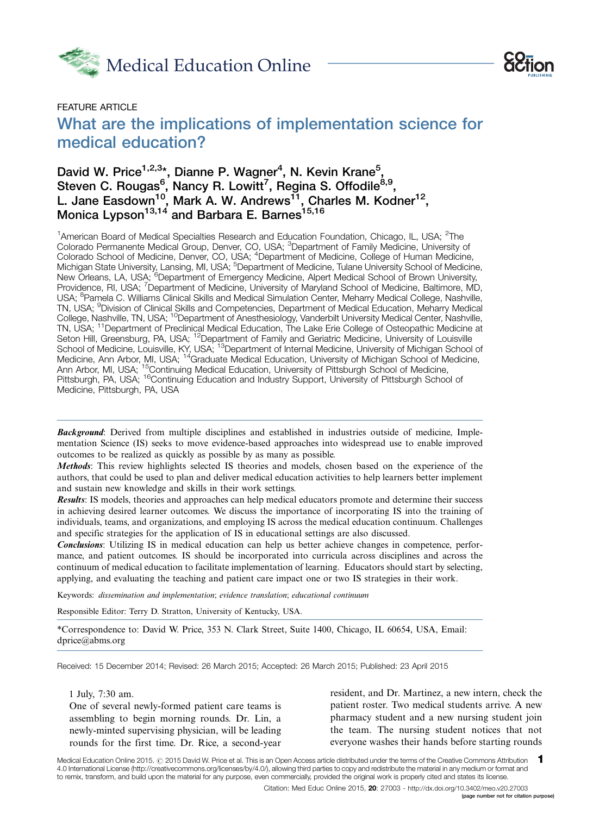



# FEATURE ARTICLE What are the implications of implementation science for medical education?

# David W. Price<sup>1,2,3</sup>\*, Dianne P. Wagner<sup>4</sup>, N. Kevin Krane<sup>5</sup>, Steven C. Rougas<sup>6</sup>, Nancy R. Lowitt<sup>7</sup>, Regina S. Offodile<sup>8,9</sup>, L. Jane Easdown<sup>10</sup>, Mark A. W. Andrews<sup>11</sup>, Charles M. Kodner<sup>12</sup>, Monica Lypson<sup>13,14</sup> and Barbara E. Barnes<sup>15,16</sup>

<sup>1</sup>American Board of Medical Specialties Research and Education Foundation, Chicago, IL, USA; <sup>2</sup>The Colorado Permanente Medical Group, Denver, CO, USA; <sup>3</sup>Department of Family Medicine, University of Colorado School of Medicine, Denver, CO, USA; <sup>4</sup>Department of Medicine, College of Human Medicine, Michigan State University, Lansing, MI, USA; <sup>5</sup>Department of Medicine, Tulane University School of Medicine,<br>New Orleans, LA, USA; <sup>6</sup>Department of Emergency Medicine, Alpert Medical School of Brown University, Providence, RI, USA; <sup>7</sup>Department of Medicine, University of Maryland School of Medicine, Baltimore, MD, USA; <sup>8</sup>Pamela C. Williams Clinical Skills and Medical Simulation Center, Meharry Medical College, Nashville, TN, USA; <sup>9</sup>Division of Clinical Skills and Competencies, Department of Medical Education, Meharry Medical College, Nashville, TN, USA; <sup>10</sup>Department of Anesthesiology, Vanderbilt University Medical Center, Nashville, TN, USA; 11Department of Preclinical Medical Education, The Lake Erie College of Osteopathic Medicine at Seton Hill, Greensburg, PA, USA; <sup>12</sup>Department of Family and Geriatric Medicine, University of Louisville School of Medicine, Louisville, KY, USA; <sup>13</sup>Department of Internal Medicine, University of Michigan School of Medicine, Ann Arbor, MI, USA; <sup>14</sup>Graduate Medical Education, University of Michigan School of Medicine, Ann Arbor, MI, USA; <sup>15</sup>Continuing Medical Education, University of Pittsburgh School of Medicine, Pittsburgh, PA, USA; <sup>16</sup>Continuing Education and Industry Support, University of Pittsburgh School of Medicine, Pittsburgh, PA, USA

**Background:** Derived from multiple disciplines and established in industries outside of medicine, Implementation Science (IS) seeks to move evidence-based approaches into widespread use to enable improved outcomes to be realized as quickly as possible by as many as possible.

Methods: This review highlights selected IS theories and models, chosen based on the experience of the authors, that could be used to plan and deliver medical education activities to help learners better implement and sustain new knowledge and skills in their work settings.

Results: IS models, theories and approaches can help medical educators promote and determine their success in achieving desired learner outcomes. We discuss the importance of incorporating IS into the training of individuals, teams, and organizations, and employing IS across the medical education continuum. Challenges and specific strategies for the application of IS in educational settings are also discussed.

Conclusions: Utilizing IS in medical education can help us better achieve changes in competence, performance, and patient outcomes. IS should be incorporated into curricula across disciplines and across the continuum of medical education to facilitate implementation of learning. Educators should start by selecting, applying, and evaluating the teaching and patient care impact one or two IS strategies in their work.

Keywords: dissemination and implementation; evidence translation; educational continuum

Responsible Editor: Terry D. Stratton, University of Kentucky, USA.

\*Correspondence to: David W. Price, 353 N. Clark Street, Suite 1400, Chicago, IL 60654, USA, Email: dprice@abms.org

Received: 15 December 2014; Revised: 26 March 2015; Accepted: 26 March 2015; Published: 23 April 2015

#### 1 July, 7:30 am.

One of several newly-formed patient care teams is assembling to begin morning rounds. Dr. Lin, a newly-minted supervising physician, will be leading rounds for the first time. Dr. Rice, a second-year

resident, and Dr. Martinez, a new intern, check the patient roster. Two medical students arrive. A new pharmacy student and a new nursing student join the team. The nursing student notices that not everyone washes their hands before starting rounds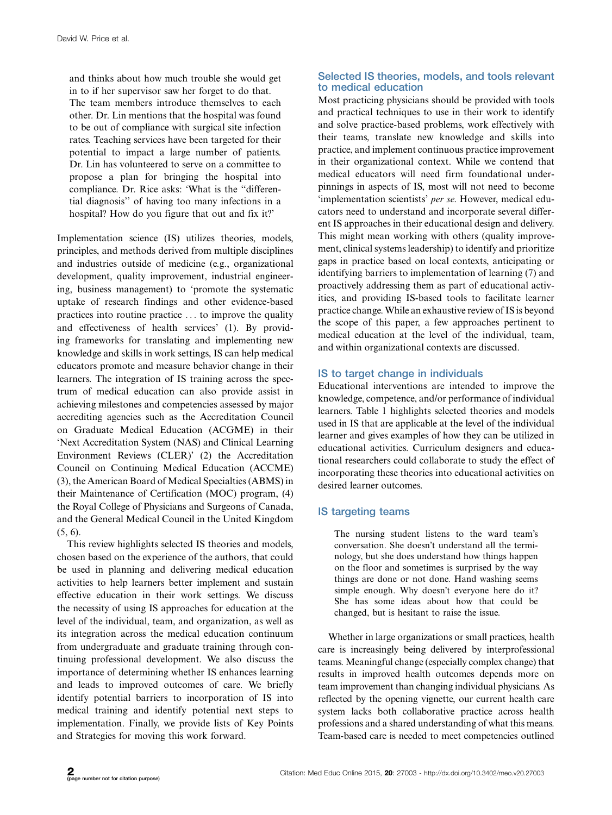and thinks about how much trouble she would get in to if her supervisor saw her forget to do that. The team members introduce themselves to each other. Dr. Lin mentions that the hospital was found to be out of compliance with surgical site infection rates. Teaching services have been targeted for their potential to impact a large number of patients. Dr. Lin has volunteered to serve on a committee to propose a plan for bringing the hospital into compliance. Dr. Rice asks: 'What is the ''differential diagnosis'' of having too many infections in a hospital? How do you figure that out and fix it?'

Implementation science (IS) utilizes theories, models, principles, and methods derived from multiple disciplines and industries outside of medicine (e.g., organizational development, quality improvement, industrial engineering, business management) to 'promote the systematic uptake of research findings and other evidence-based practices into routine practice ... to improve the quality and effectiveness of health services' (1). By providing frameworks for translating and implementing new knowledge and skills in work settings, IS can help medical educators promote and measure behavior change in their learners. The integration of IS training across the spectrum of medical education can also provide assist in achieving milestones and competencies assessed by major accrediting agencies such as the Accreditation Council on Graduate Medical Education (ACGME) in their 'Next Accreditation System (NAS) and Clinical Learning Environment Reviews (CLER)' (2) the Accreditation Council on Continuing Medical Education (ACCME) (3), the American Board of Medical Specialties (ABMS) in their Maintenance of Certification (MOC) program, (4) the Royal College of Physicians and Surgeons of Canada, and the General Medical Council in the United Kingdom (5, 6).

This review highlights selected IS theories and models, chosen based on the experience of the authors, that could be used in planning and delivering medical education activities to help learners better implement and sustain effective education in their work settings. We discuss the necessity of using IS approaches for education at the level of the individual, team, and organization, as well as its integration across the medical education continuum from undergraduate and graduate training through continuing professional development. We also discuss the importance of determining whether IS enhances learning and leads to improved outcomes of care. We briefly identify potential barriers to incorporation of IS into medical training and identify potential next steps to implementation. Finally, we provide lists of Key Points and Strategies for moving this work forward.

# Selected IS theories, models, and tools relevant to medical education

Most practicing physicians should be provided with tools and practical techniques to use in their work to identify and solve practice-based problems, work effectively with their teams, translate new knowledge and skills into practice, and implement continuous practice improvement in their organizational context. While we contend that medical educators will need firm foundational underpinnings in aspects of IS, most will not need to become 'implementation scientists' per se. However, medical educators need to understand and incorporate several different IS approaches in their educational design and delivery. This might mean working with others (quality improvement, clinical systems leadership) to identify and prioritize gaps in practice based on local contexts, anticipating or identifying barriers to implementation of learning (7) and proactively addressing them as part of educational activities, and providing IS-based tools to facilitate learner practice change. While an exhaustive reviewof IS is beyond the scope of this paper, a few approaches pertinent to medical education at the level of the individual, team, and within organizational contexts are discussed.

# IS to target change in individuals

Educational interventions are intended to improve the knowledge, competence, and/or performance of individual learners. Table 1 highlights selected theories and models used in IS that are applicable at the level of the individual learner and gives examples of how they can be utilized in educational activities. Curriculum designers and educational researchers could collaborate to study the effect of incorporating these theories into educational activities on desired learner outcomes.

# IS targeting teams

The nursing student listens to the ward team's conversation. She doesn't understand all the terminology, but she does understand how things happen on the floor and sometimes is surprised by the way things are done or not done. Hand washing seems simple enough. Why doesn't everyone here do it? She has some ideas about how that could be changed, but is hesitant to raise the issue.

Whether in large organizations or small practices, health care is increasingly being delivered by interprofessional teams. Meaningful change (especially complex change) that results in improved health outcomes depends more on team improvement than changing individual physicians. As reflected by the opening vignette, our current health care system lacks both collaborative practice across health professions and a shared understanding of what this means. Team-based care is needed to meet competencies outlined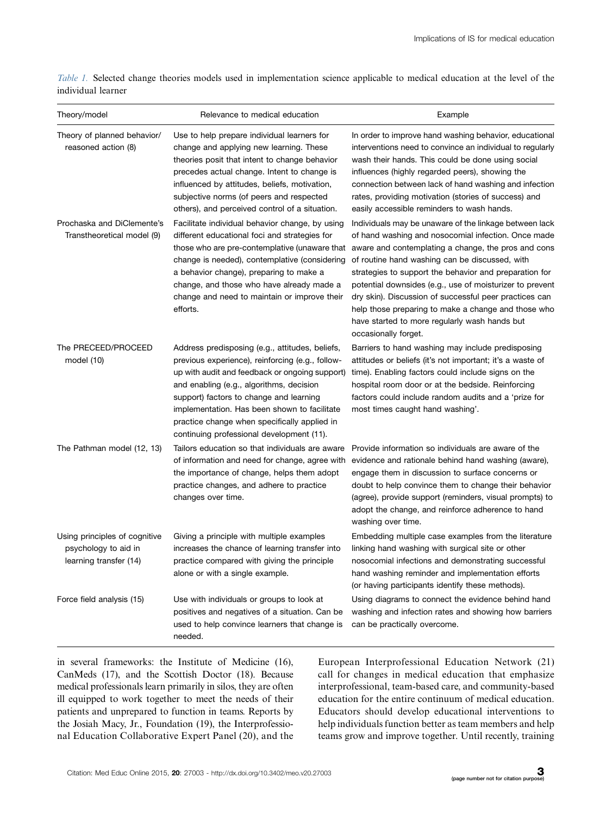Table 1. Selected change theories models used in implementation science applicable to medical education at the level of the individual learner

| Theory/model                                                                    | Relevance to medical education                                                                                                                                                                                                                                                                                                                                                            | Example                                                                                                                                                                                                                                                                                                                                                                                                                                                                                                                                                                              |
|---------------------------------------------------------------------------------|-------------------------------------------------------------------------------------------------------------------------------------------------------------------------------------------------------------------------------------------------------------------------------------------------------------------------------------------------------------------------------------------|--------------------------------------------------------------------------------------------------------------------------------------------------------------------------------------------------------------------------------------------------------------------------------------------------------------------------------------------------------------------------------------------------------------------------------------------------------------------------------------------------------------------------------------------------------------------------------------|
| Theory of planned behavior/<br>reasoned action (8)                              | Use to help prepare individual learners for<br>change and applying new learning. These<br>theories posit that intent to change behavior<br>precedes actual change. Intent to change is<br>influenced by attitudes, beliefs, motivation,<br>subjective norms (of peers and respected<br>others), and perceived control of a situation.                                                     | In order to improve hand washing behavior, educational<br>interventions need to convince an individual to regularly<br>wash their hands. This could be done using social<br>influences (highly regarded peers), showing the<br>connection between lack of hand washing and infection<br>rates, providing motivation (stories of success) and<br>easily accessible reminders to wash hands.                                                                                                                                                                                           |
| Prochaska and DiClemente's<br>Transtheoretical model (9)                        | Facilitate individual behavior change, by using<br>different educational foci and strategies for<br>change is needed), contemplative (considering<br>a behavior change), preparing to make a<br>change, and those who have already made a<br>change and need to maintain or improve their<br>efforts.                                                                                     | Individuals may be unaware of the linkage between lack<br>of hand washing and nosocomial infection. Once made<br>those who are pre-contemplative (unaware that aware and contemplating a change, the pros and cons<br>of routine hand washing can be discussed, with<br>strategies to support the behavior and preparation for<br>potential downsides (e.g., use of moisturizer to prevent<br>dry skin). Discussion of successful peer practices can<br>help those preparing to make a change and those who<br>have started to more regularly wash hands but<br>occasionally forget. |
| The PRECEED/PROCEED<br>model (10)                                               | Address predisposing (e.g., attitudes, beliefs,<br>previous experience), reinforcing (e.g., follow-<br>up with audit and feedback or ongoing support)<br>and enabling (e.g., algorithms, decision<br>support) factors to change and learning<br>implementation. Has been shown to facilitate<br>practice change when specifically applied in<br>continuing professional development (11). | Barriers to hand washing may include predisposing<br>attitudes or beliefs (it's not important; it's a waste of<br>time). Enabling factors could include signs on the<br>hospital room door or at the bedside. Reinforcing<br>factors could include random audits and a 'prize for<br>most times caught hand washing'.                                                                                                                                                                                                                                                                |
| The Pathman model (12, 13)                                                      | Tailors education so that individuals are aware<br>the importance of change, helps them adopt<br>practice changes, and adhere to practice<br>changes over time.                                                                                                                                                                                                                           | Provide information so individuals are aware of the<br>of information and need for change, agree with evidence and rationale behind hand washing (aware),<br>engage them in discussion to surface concerns or<br>doubt to help convince them to change their behavior<br>(agree), provide support (reminders, visual prompts) to<br>adopt the change, and reinforce adherence to hand<br>washing over time.                                                                                                                                                                          |
| Using principles of cognitive<br>psychology to aid in<br>learning transfer (14) | Giving a principle with multiple examples<br>increases the chance of learning transfer into<br>practice compared with giving the principle<br>alone or with a single example.                                                                                                                                                                                                             | Embedding multiple case examples from the literature<br>linking hand washing with surgical site or other<br>nosocomial infections and demonstrating successful<br>hand washing reminder and implementation efforts<br>(or having participants identify these methods).                                                                                                                                                                                                                                                                                                               |
| Force field analysis (15)                                                       | Use with individuals or groups to look at<br>positives and negatives of a situation. Can be<br>used to help convince learners that change is<br>needed.                                                                                                                                                                                                                                   | Using diagrams to connect the evidence behind hand<br>washing and infection rates and showing how barriers<br>can be practically overcome.                                                                                                                                                                                                                                                                                                                                                                                                                                           |

in several frameworks: the Institute of Medicine (16), CanMeds (17), and the Scottish Doctor (18). Because medical professionals learn primarily in silos, they are often ill equipped to work together to meet the needs of their patients and unprepared to function in teams. Reports by the Josiah Macy, Jr., Foundation (19), the Interprofessional Education Collaborative Expert Panel (20), and the

European Interprofessional Education Network (21) call for changes in medical education that emphasize interprofessional, team-based care, and community-based education for the entire continuum of medical education. Educators should develop educational interventions to help individuals function better as team members and help teams grow and improve together. Until recently, training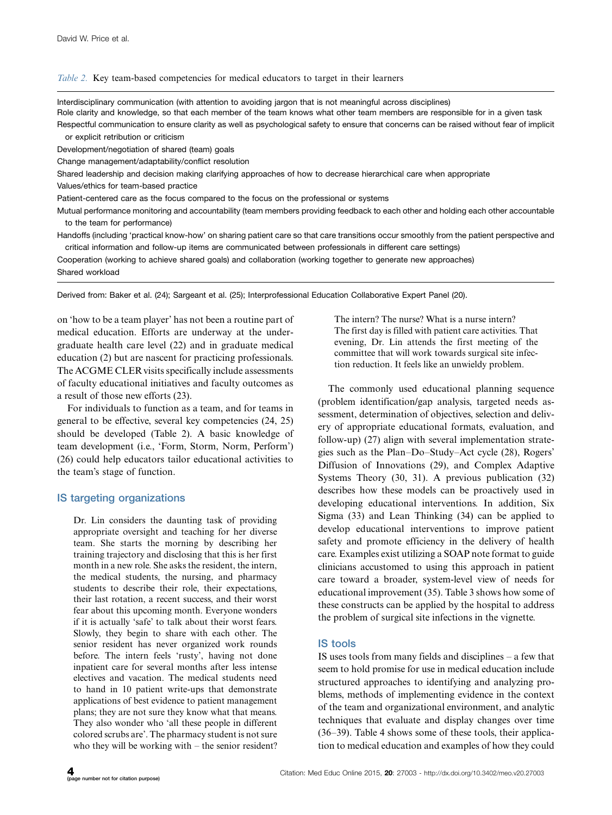#### Table 2. Key team-based competencies for medical educators to target in their learners

Interdisciplinary communication (with attention to avoiding jargon that is not meaningful across disciplines) Role clarity and knowledge, so that each member of the team knows what other team members are responsible for in a given task Respectful communication to ensure clarity as well as psychological safety to ensure that concerns can be raised without fear of implicit

or explicit retribution or criticism

Development/negotiation of shared (team) goals

Change management/adaptability/conflict resolution

Shared leadership and decision making clarifying approaches of how to decrease hierarchical care when appropriate

Values/ethics for team-based practice

Patient-centered care as the focus compared to the focus on the professional or systems

Mutual performance monitoring and accountability (team members providing feedback to each other and holding each other accountable to the team for performance)

Handoffs (including 'practical know-how' on sharing patient care so that care transitions occur smoothly from the patient perspective and critical information and follow-up items are communicated between professionals in different care settings)

Cooperation (working to achieve shared goals) and collaboration (working together to generate new approaches) Shared workload

Derived from: Baker et al. (24); Sargeant et al. (25); Interprofessional Education Collaborative Expert Panel (20).

on 'how to be a team player' has not been a routine part of medical education. Efforts are underway at the undergraduate health care level (22) and in graduate medical education (2) but are nascent for practicing professionals. The ACGME CLER visits specifically include assessments of faculty educational initiatives and faculty outcomes as a result of those new efforts (23).

For individuals to function as a team, and for teams in general to be effective, several key competencies (24, 25) should be developed (Table 2). A basic knowledge of team development (i.e., 'Form, Storm, Norm, Perform') (26) could help educators tailor educational activities to the team's stage of function.

#### IS targeting organizations

Dr. Lin considers the daunting task of providing appropriate oversight and teaching for her diverse team. She starts the morning by describing her training trajectory and disclosing that this is her first month in a new role. She asks the resident, the intern, the medical students, the nursing, and pharmacy students to describe their role, their expectations, their last rotation, a recent success, and their worst fear about this upcoming month. Everyone wonders if it is actually 'safe' to talk about their worst fears. Slowly, they begin to share with each other. The senior resident has never organized work rounds before. The intern feels 'rusty', having not done inpatient care for several months after less intense electives and vacation. The medical students need to hand in 10 patient write-ups that demonstrate applications of best evidence to patient management plans; they are not sure they know what that means. They also wonder who 'all these people in different colored scrubs are'. The pharmacy student is not sure who they will be working with  $-$  the senior resident?

The intern? The nurse? What is a nurse intern? The first day is filled with patient care activities. That evening, Dr. Lin attends the first meeting of the committee that will work towards surgical site infection reduction. It feels like an unwieldy problem.

The commonly used educational planning sequence (problem identification/gap analysis, targeted needs assessment, determination of objectives, selection and delivery of appropriate educational formats, evaluation, and follow-up) (27) align with several implementation strategies such as the Plan-Do-Study-Act cycle (28), Rogers' Diffusion of Innovations (29), and Complex Adaptive Systems Theory (30, 31). A previous publication (32) describes how these models can be proactively used in developing educational interventions. In addition, Six Sigma (33) and Lean Thinking (34) can be applied to develop educational interventions to improve patient safety and promote efficiency in the delivery of health care. Examples exist utilizing a SOAP note format to guide clinicians accustomed to using this approach in patient care toward a broader, system-level view of needs for educational improvement (35). Table 3 shows how some of these constructs can be applied by the hospital to address the problem of surgical site infections in the vignette.

# IS tools

IS uses tools from many fields and disciplines - a few that seem to hold promise for use in medical education include structured approaches to identifying and analyzing problems, methods of implementing evidence in the context of the team and organizational environment, and analytic techniques that evaluate and display changes over time (36-39). Table 4 shows some of these tools, their application to medical education and examples of how they could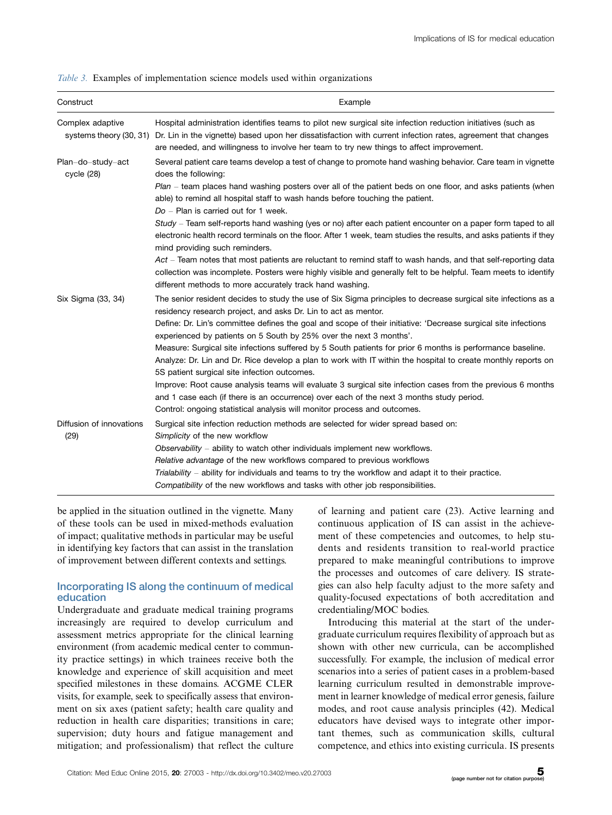| Construct                                   | Example                                                                                                                                                                                                                                                                                                                                                                                                                                                               |  |
|---------------------------------------------|-----------------------------------------------------------------------------------------------------------------------------------------------------------------------------------------------------------------------------------------------------------------------------------------------------------------------------------------------------------------------------------------------------------------------------------------------------------------------|--|
| Complex adaptive<br>systems theory (30, 31) | Hospital administration identifies teams to pilot new surgical site infection reduction initiatives (such as<br>Dr. Lin in the vignette) based upon her dissatisfaction with current infection rates, agreement that changes<br>are needed, and willingness to involve her team to try new things to affect improvement.                                                                                                                                              |  |
| Plan-do-study-act<br>cycle (28)             | Several patient care teams develop a test of change to promote hand washing behavior. Care team in vignette<br>does the following:<br>$Plan$ – team places hand washing posters over all of the patient beds on one floor, and asks patients (when<br>able) to remind all hospital staff to wash hands before touching the patient.<br>$Do$ – Plan is carried out for 1 week.                                                                                         |  |
|                                             | Study – Team self-reports hand washing (yes or no) after each patient encounter on a paper form taped to all<br>electronic health record terminals on the floor. After 1 week, team studies the results, and asks patients if they<br>mind providing such reminders.                                                                                                                                                                                                  |  |
|                                             | Act – Team notes that most patients are reluctant to remind staff to wash hands, and that self-reporting data<br>collection was incomplete. Posters were highly visible and generally felt to be helpful. Team meets to identify<br>different methods to more accurately track hand washing.                                                                                                                                                                          |  |
| Six Sigma (33, 34)                          | The senior resident decides to study the use of Six Sigma principles to decrease surgical site infections as a<br>residency research project, and asks Dr. Lin to act as mentor.<br>Define: Dr. Lin's committee defines the goal and scope of their initiative: 'Decrease surgical site infections<br>experienced by patients on 5 South by 25% over the next 3 months'.                                                                                              |  |
|                                             | Measure: Surgical site infections suffered by 5 South patients for prior 6 months is performance baseline.<br>Analyze: Dr. Lin and Dr. Rice develop a plan to work with IT within the hospital to create monthly reports on<br>5S patient surgical site infection outcomes.                                                                                                                                                                                           |  |
|                                             | Improve: Root cause analysis teams will evaluate 3 surgical site infection cases from the previous 6 months<br>and 1 case each (if there is an occurrence) over each of the next 3 months study period.<br>Control: ongoing statistical analysis will monitor process and outcomes.                                                                                                                                                                                   |  |
| Diffusion of innovations<br>(29)            | Surgical site infection reduction methods are selected for wider spread based on:<br>Simplicity of the new workflow<br>Observability – ability to watch other individuals implement new workflows.<br>Relative advantage of the new workflows compared to previous workflows<br>Trialability – ability for individuals and teams to try the workflow and adapt it to their practice.<br>Compatibility of the new workflows and tasks with other job responsibilities. |  |

Table 3. Examples of implementation science models used within organizations

be applied in the situation outlined in the vignette. Many of these tools can be used in mixed-methods evaluation of impact; qualitative methods in particular may be useful in identifying key factors that can assist in the translation of improvement between different contexts and settings.

#### Incorporating IS along the continuum of medical education

Undergraduate and graduate medical training programs increasingly are required to develop curriculum and assessment metrics appropriate for the clinical learning environment (from academic medical center to community practice settings) in which trainees receive both the knowledge and experience of skill acquisition and meet specified milestones in these domains. ACGME CLER visits, for example, seek to specifically assess that environment on six axes (patient safety; health care quality and reduction in health care disparities; transitions in care; supervision; duty hours and fatigue management and mitigation; and professionalism) that reflect the culture of learning and patient care (23). Active learning and continuous application of IS can assist in the achievement of these competencies and outcomes, to help students and residents transition to real-world practice prepared to make meaningful contributions to improve the processes and outcomes of care delivery. IS strategies can also help faculty adjust to the more safety and quality-focused expectations of both accreditation and credentialing/MOC bodies.

Introducing this material at the start of the undergraduate curriculum requires flexibility of approach but as shown with other new curricula, can be accomplished successfully. For example, the inclusion of medical error scenarios into a series of patient cases in a problem-based learning curriculum resulted in demonstrable improvement in learner knowledge of medical error genesis, failure modes, and root cause analysis principles (42). Medical educators have devised ways to integrate other important themes, such as communication skills, cultural competence, and ethics into existing curricula. IS presents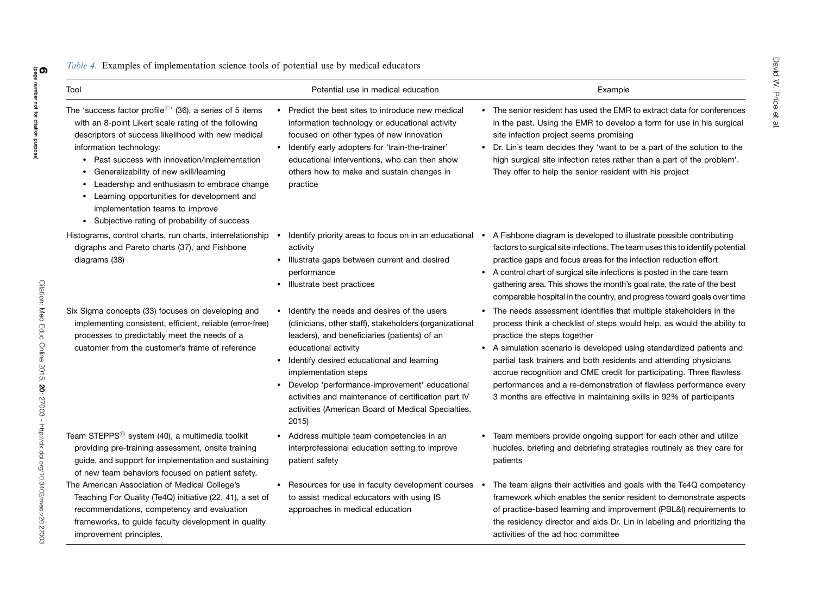#### Table 4. Examples of implementation science tools of potential use by medical educators

| Tool                                                                                                                                                                                                                                                                                                                                                                                                                                                                                                          | Potential use in medical education                                                                                                                                                                                                                                                                                                                                                                                        | Example                                                                                                                                                                                                                                                                                                                                                                                                                                                                                                                                    |
|---------------------------------------------------------------------------------------------------------------------------------------------------------------------------------------------------------------------------------------------------------------------------------------------------------------------------------------------------------------------------------------------------------------------------------------------------------------------------------------------------------------|---------------------------------------------------------------------------------------------------------------------------------------------------------------------------------------------------------------------------------------------------------------------------------------------------------------------------------------------------------------------------------------------------------------------------|--------------------------------------------------------------------------------------------------------------------------------------------------------------------------------------------------------------------------------------------------------------------------------------------------------------------------------------------------------------------------------------------------------------------------------------------------------------------------------------------------------------------------------------------|
| The 'success factor profile <sup><math>\mathbb{C}</math></sup> ' (36), a series of 5 items<br>with an 8-point Likert scale rating of the following<br>descriptors of success likelihood with new medical<br>information technology:<br>Past success with innovation/implementation<br>Generalizability of new skill/learning<br>Leadership and enthusiasm to embrace change<br>Learning opportunities for development and<br>implementation teams to improve<br>• Subjective rating of probability of success | Predict the best sites to introduce new medical<br>information technology or educational activity<br>focused on other types of new innovation<br>Identify early adopters for 'train-the-trainer'<br>educational interventions, who can then show<br>others how to make and sustain changes in<br>practice                                                                                                                 | • The senior resident has used the EMR to extract data for conferences<br>in the past. Using the EMR to develop a form for use in his surgical<br>site infection project seems promising<br>• Dr. Lin's team decides they 'want to be a part of the solution to the<br>high surgical site infection rates rather than a part of the problem'.<br>They offer to help the senior resident with his project                                                                                                                                   |
| Histograms, control charts, run charts, interrelationship<br>digraphs and Pareto charts (37), and Fishbone<br>diagrams (38)                                                                                                                                                                                                                                                                                                                                                                                   | Identify priority areas to focus on in an educational •<br>activity<br>Illustrate gaps between current and desired<br>performance<br>Illustrate best practices                                                                                                                                                                                                                                                            | A Fishbone diagram is developed to illustrate possible contributing<br>factors to surgical site infections. The team uses this to identify potential<br>practice gaps and focus areas for the infection reduction effort<br>• A control chart of surgical site infections is posted in the care team<br>gathering area. This shows the month's goal rate, the rate of the best<br>comparable hospital in the country, and progress toward goals over time                                                                                  |
| Six Sigma concepts (33) focuses on developing and<br>implementing consistent, efficient, reliable (error-free)<br>processes to predictably meet the needs of a<br>customer from the customer's frame of reference                                                                                                                                                                                                                                                                                             | Identify the needs and desires of the users<br>(clinicians, other staff), stakeholders (organizational<br>leaders), and beneficiaries (patients) of an<br>educational activity<br>Identify desired educational and learning<br>implementation steps<br>Develop 'performance-improvement' educational<br>activities and maintenance of certification part IV<br>activities (American Board of Medical Specialties,<br>2015 | The needs assessment identifies that multiple stakeholders in the<br>process think a checklist of steps would help, as would the ability to<br>practice the steps together<br>• A simulation scenario is developed using standardized patients and<br>partial task trainers and both residents and attending physicians<br>accrue recognition and CME credit for participating. Three flawless<br>performances and a re-demonstration of flawless performance every<br>3 months are effective in maintaining skills in 92% of participants |
| Team STEPPS <sup>®</sup> system (40), a multimedia toolkit<br>providing pre-training assessment, onsite training<br>guide, and support for implementation and sustaining<br>of new team behaviors focused on patient safety.                                                                                                                                                                                                                                                                                  | Address multiple team competencies in an<br>interprofessional education setting to improve<br>patient safety                                                                                                                                                                                                                                                                                                              | Team members provide ongoing support for each other and utilize<br>huddles, briefing and debriefing strategies routinely as they care for<br>patients                                                                                                                                                                                                                                                                                                                                                                                      |
| The American Association of Medical College's<br>Teaching For Quality (Te4Q) initiative (22, 41), a set of<br>recommendations, competency and evaluation<br>frameworks, to guide faculty development in quality<br>improvement principles.                                                                                                                                                                                                                                                                    | Resources for use in faculty development courses<br>to assist medical educators with using IS<br>approaches in medical education                                                                                                                                                                                                                                                                                          | The team aligns their activities and goals with the Te4Q competency<br>framework which enables the senior resident to demonstrate aspects<br>of practice-based learning and improvement (PBL&I) requirements to<br>the residency director and aids Dr. Lin in labeling and prioritizing the<br>activities of the ad hoc committee                                                                                                                                                                                                          |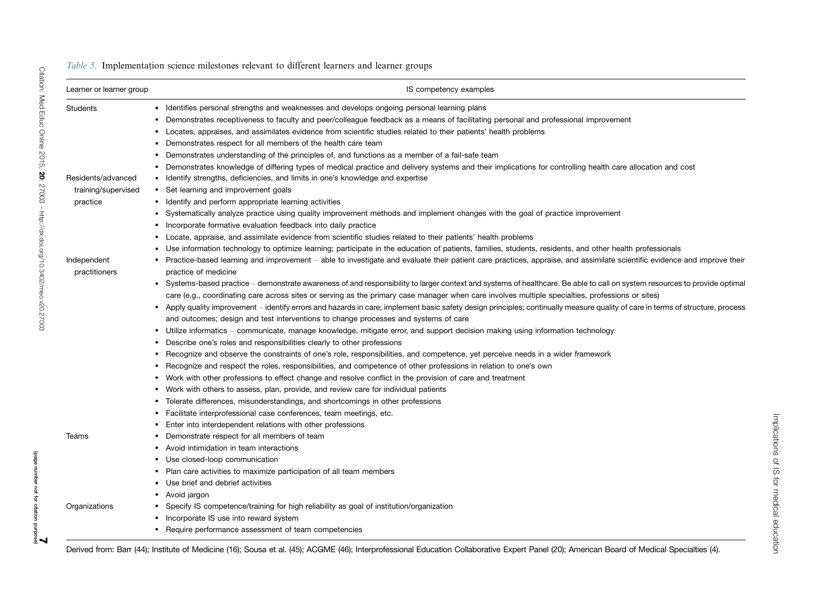#### Table 5. Implementation science milestones relevant to different learners and learner groups

| Learner or learner group                              | IS competency examples                                                                                                                                                                                                                                                                                                                                                                                                                                                                                                                                                                                                                                                                                                                                                                                                                                                                                                                                                                                                                                                                                                                                                                                                                                                                                                                                                                                                                                                                                                                                                                                                                                                                            |  |  |
|-------------------------------------------------------|---------------------------------------------------------------------------------------------------------------------------------------------------------------------------------------------------------------------------------------------------------------------------------------------------------------------------------------------------------------------------------------------------------------------------------------------------------------------------------------------------------------------------------------------------------------------------------------------------------------------------------------------------------------------------------------------------------------------------------------------------------------------------------------------------------------------------------------------------------------------------------------------------------------------------------------------------------------------------------------------------------------------------------------------------------------------------------------------------------------------------------------------------------------------------------------------------------------------------------------------------------------------------------------------------------------------------------------------------------------------------------------------------------------------------------------------------------------------------------------------------------------------------------------------------------------------------------------------------------------------------------------------------------------------------------------------------|--|--|
| <b>Students</b>                                       | Identifies personal strengths and weaknesses and develops ongoing personal learning plans<br>$\bullet$<br>Demonstrates receptiveness to faculty and peer/colleague feedback as a means of facilitating personal and professional improvement<br>Locates, appraises, and assimilates evidence from scientific studies related to their patients' health problems<br>Demonstrates respect for all members of the health care team<br>Demonstrates understanding of the principles of, and functions as a member of a fail-safe team                                                                                                                                                                                                                                                                                                                                                                                                                                                                                                                                                                                                                                                                                                                                                                                                                                                                                                                                                                                                                                                                                                                                                                 |  |  |
| Residents/advanced<br>training/supervised<br>practice | Demonstrates knowledge of differing types of medical practice and delivery systems and their implications for controlling health care allocation and cost<br>Identify strengths, deficiencies, and limits in one's knowledge and expertise<br>• Set learning and improvement goals<br>Identify and perform appropriate learning activities<br>$\bullet$<br>Systematically analyze practice using quality improvement methods and implement changes with the goal of practice improvement<br>Incorporate formative evaluation feedback into daily practice<br>Locate, appraise, and assimilate evidence from scientific studies related to their patients' health problems<br>Use information technology to optimize learning; participate in the education of patients, families, students, residents, and other health professionals                                                                                                                                                                                                                                                                                                                                                                                                                                                                                                                                                                                                                                                                                                                                                                                                                                                             |  |  |
| Independent<br>practitioners                          | Practice-based learning and improvement – able to investigate and evaluate their patient care practices, appraise, and assimilate scientific evidence and improve their<br>practice of medicine<br>• Systems-based practice – demonstrate awareness of and responsibility to larger context and systems of healthcare. Be able to call on system resources to provide optimal<br>care (e.g., coordinating care across sites or serving as the primary case manager when care involves multiple specialties, professions or sites)<br>Apply quality improvement – identify errors and hazards in care; implement basic safety design principles; continually measure quality of care in terms of structure, process<br>and outcomes; design and test interventions to change processes and systems of care<br>Utilize informatics – communicate, manage knowledge, mitigate error, and support decision making using information technology<br>Describe one's roles and responsibilities clearly to other professions<br>Recognize and observe the constraints of one's role, responsibilities, and competence, yet perceive needs in a wider framework<br>Recognize and respect the roles, responsibilities, and competence of other professions in relation to one's own<br>Work with other professions to effect change and resolve conflict in the provision of care and treatment<br>Work with others to assess, plan, provide, and review care for individual patients<br>Tolerate differences, misunderstandings, and shortcomings in other professions<br>Facilitate interprofessional case conferences, team meetings, etc.<br>Enter into interdependent relations with other professions |  |  |
| Teams                                                 | Demonstrate respect for all members of team<br>Avoid intimidation in team interactions<br>Use closed-loop communication<br>Plan care activities to maximize participation of all team members<br>Use brief and debrief activities<br>Avoid jargon                                                                                                                                                                                                                                                                                                                                                                                                                                                                                                                                                                                                                                                                                                                                                                                                                                                                                                                                                                                                                                                                                                                                                                                                                                                                                                                                                                                                                                                 |  |  |
| Organizations                                         | Specify IS competence/training for high reliability as goal of institution/organization<br>Incorporate IS use into reward system<br>Require performance assessment of team competencies                                                                                                                                                                                                                                                                                                                                                                                                                                                                                                                                                                                                                                                                                                                                                                                                                                                                                                                                                                                                                                                                                                                                                                                                                                                                                                                                                                                                                                                                                                           |  |  |

Derived from: Barr (44); Institute of Medicine (16); Sousa et al. (45); ACGME (46); Interprofessional Education Collaborative Expert Panel (20); American Board of Medical Specialties (4).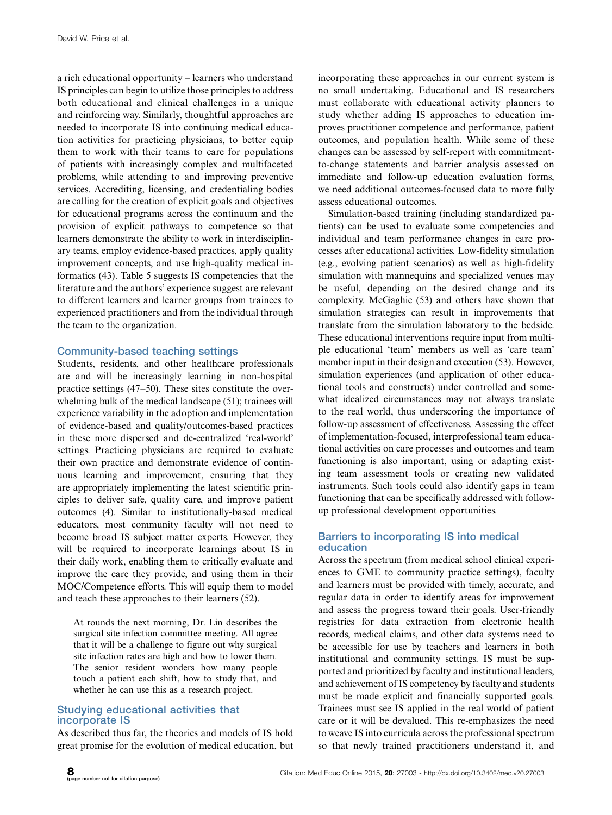a rich educational opportunity - learners who understand IS principles can begin to utilize those principles to address both educational and clinical challenges in a unique and reinforcing way. Similarly, thoughtful approaches are needed to incorporate IS into continuing medical education activities for practicing physicians, to better equip them to work with their teams to care for populations of patients with increasingly complex and multifaceted problems, while attending to and improving preventive services. Accrediting, licensing, and credentialing bodies are calling for the creation of explicit goals and objectives for educational programs across the continuum and the provision of explicit pathways to competence so that learners demonstrate the ability to work in interdisciplinary teams, employ evidence-based practices, apply quality improvement concepts, and use high-quality medical informatics (43). Table 5 suggests IS competencies that the literature and the authors' experience suggest are relevant to different learners and learner groups from trainees to experienced practitioners and from the individual through the team to the organization.

## Community-based teaching settings

Students, residents, and other healthcare professionals are and will be increasingly learning in non-hospital practice settings (47-50). These sites constitute the overwhelming bulk of the medical landscape (51); trainees will experience variability in the adoption and implementation of evidence-based and quality/outcomes-based practices in these more dispersed and de-centralized 'real-world' settings. Practicing physicians are required to evaluate their own practice and demonstrate evidence of continuous learning and improvement, ensuring that they are appropriately implementing the latest scientific principles to deliver safe, quality care, and improve patient outcomes (4). Similar to institutionally-based medical educators, most community faculty will not need to become broad IS subject matter experts. However, they will be required to incorporate learnings about IS in their daily work, enabling them to critically evaluate and improve the care they provide, and using them in their MOC/Competence efforts. This will equip them to model and teach these approaches to their learners (52).

At rounds the next morning, Dr. Lin describes the surgical site infection committee meeting. All agree that it will be a challenge to figure out why surgical site infection rates are high and how to lower them. The senior resident wonders how many people touch a patient each shift, how to study that, and whether he can use this as a research project.

#### Studying educational activities that incorporate IS

As described thus far, the theories and models of IS hold great promise for the evolution of medical education, but incorporating these approaches in our current system is no small undertaking. Educational and IS researchers must collaborate with educational activity planners to study whether adding IS approaches to education improves practitioner competence and performance, patient outcomes, and population health. While some of these changes can be assessed by self-report with commitmentto-change statements and barrier analysis assessed on immediate and follow-up education evaluation forms, we need additional outcomes-focused data to more fully assess educational outcomes.

Simulation-based training (including standardized patients) can be used to evaluate some competencies and individual and team performance changes in care processes after educational activities. Low-fidelity simulation (e.g., evolving patient scenarios) as well as high-fidelity simulation with mannequins and specialized venues may be useful, depending on the desired change and its complexity. McGaghie (53) and others have shown that simulation strategies can result in improvements that translate from the simulation laboratory to the bedside. These educational interventions require input from multiple educational 'team' members as well as 'care team' member input in their design and execution (53). However, simulation experiences (and application of other educational tools and constructs) under controlled and somewhat idealized circumstances may not always translate to the real world, thus underscoring the importance of follow-up assessment of effectiveness. Assessing the effect of implementation-focused, interprofessional team educational activities on care processes and outcomes and team functioning is also important, using or adapting existing team assessment tools or creating new validated instruments. Such tools could also identify gaps in team functioning that can be specifically addressed with followup professional development opportunities.

## Barriers to incorporating IS into medical education

Across the spectrum (from medical school clinical experiences to GME to community practice settings), faculty and learners must be provided with timely, accurate, and regular data in order to identify areas for improvement and assess the progress toward their goals. User-friendly registries for data extraction from electronic health records, medical claims, and other data systems need to be accessible for use by teachers and learners in both institutional and community settings. IS must be supported and prioritized by faculty and institutional leaders, and achievement of IS competency by faculty and students must be made explicit and financially supported goals. Trainees must see IS applied in the real world of patient care or it will be devalued. This re-emphasizes the need to weave IS into curricula across the professional spectrum so that newly trained practitioners understand it, and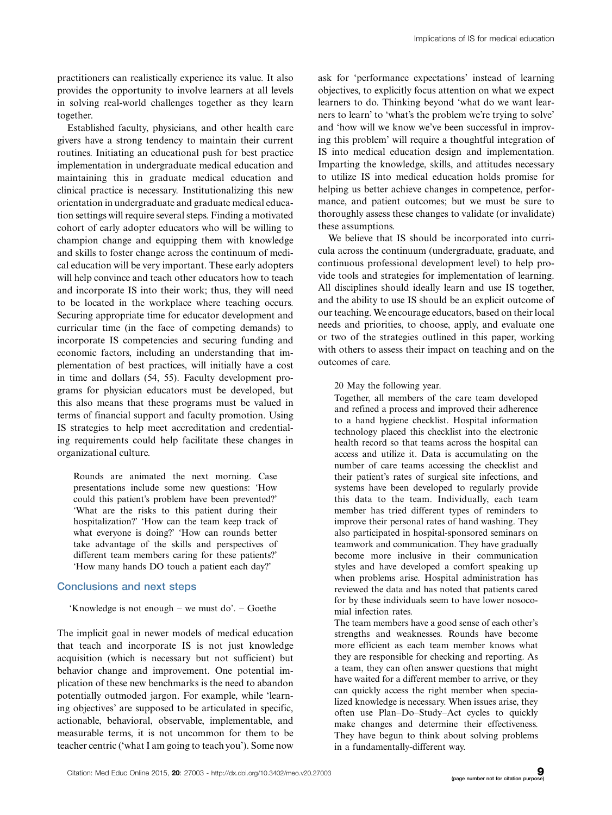practitioners can realistically experience its value. It also provides the opportunity to involve learners at all levels in solving real-world challenges together as they learn together.

Established faculty, physicians, and other health care givers have a strong tendency to maintain their current routines. Initiating an educational push for best practice implementation in undergraduate medical education and maintaining this in graduate medical education and clinical practice is necessary. Institutionalizing this new orientation in undergraduate and graduate medical education settings will require several steps. Finding a motivated cohort of early adopter educators who will be willing to champion change and equipping them with knowledge and skills to foster change across the continuum of medical education will be very important. These early adopters will help convince and teach other educators how to teach and incorporate IS into their work; thus, they will need to be located in the workplace where teaching occurs. Securing appropriate time for educator development and curricular time (in the face of competing demands) to incorporate IS competencies and securing funding and economic factors, including an understanding that implementation of best practices, will initially have a cost in time and dollars (54, 55). Faculty development programs for physician educators must be developed, but this also means that these programs must be valued in terms of financial support and faculty promotion. Using IS strategies to help meet accreditation and credentialing requirements could help facilitate these changes in organizational culture.

Rounds are animated the next morning. Case presentations include some new questions: 'How could this patient's problem have been prevented?' 'What are the risks to this patient during their hospitalization?' 'How can the team keep track of what everyone is doing?' 'How can rounds better take advantage of the skills and perspectives of different team members caring for these patients?' 'How many hands DO touch a patient each day?'

#### Conclusions and next steps

'Knowledge is not enough  $-$  we must do'.  $-$  Goethe

The implicit goal in newer models of medical education that teach and incorporate IS is not just knowledge acquisition (which is necessary but not sufficient) but behavior change and improvement. One potential implication of these new benchmarks is the need to abandon potentially outmoded jargon. For example, while 'learning objectives' are supposed to be articulated in specific, actionable, behavioral, observable, implementable, and measurable terms, it is not uncommon for them to be teacher centric ('what I am going to teach you'). Some now

ask for 'performance expectations' instead of learning objectives, to explicitly focus attention on what we expect learners to do. Thinking beyond 'what do we want learners to learn' to 'what's the problem we're trying to solve' and 'how will we know we've been successful in improving this problem' will require a thoughtful integration of IS into medical education design and implementation. Imparting the knowledge, skills, and attitudes necessary to utilize IS into medical education holds promise for helping us better achieve changes in competence, performance, and patient outcomes; but we must be sure to thoroughly assess these changes to validate (or invalidate) these assumptions.

We believe that IS should be incorporated into curricula across the continuum (undergraduate, graduate, and continuous professional development level) to help provide tools and strategies for implementation of learning. All disciplines should ideally learn and use IS together, and the ability to use IS should be an explicit outcome of our teaching. We encourage educators, based on their local needs and priorities, to choose, apply, and evaluate one or two of the strategies outlined in this paper, working with others to assess their impact on teaching and on the outcomes of care.

20 May the following year.

Together, all members of the care team developed and refined a process and improved their adherence to a hand hygiene checklist. Hospital information technology placed this checklist into the electronic health record so that teams across the hospital can access and utilize it. Data is accumulating on the number of care teams accessing the checklist and their patient's rates of surgical site infections, and systems have been developed to regularly provide this data to the team. Individually, each team member has tried different types of reminders to improve their personal rates of hand washing. They also participated in hospital-sponsored seminars on teamwork and communication. They have gradually become more inclusive in their communication styles and have developed a comfort speaking up when problems arise. Hospital administration has reviewed the data and has noted that patients cared for by these individuals seem to have lower nosocomial infection rates.

The team members have a good sense of each other's strengths and weaknesses. Rounds have become more efficient as each team member knows what they are responsible for checking and reporting. As a team, they can often answer questions that might have waited for a different member to arrive, or they can quickly access the right member when specialized knowledge is necessary. When issues arise, they often use Plan-Do-Study-Act cycles to quickly make changes and determine their effectiveness. They have begun to think about solving problems in a fundamentally-different way.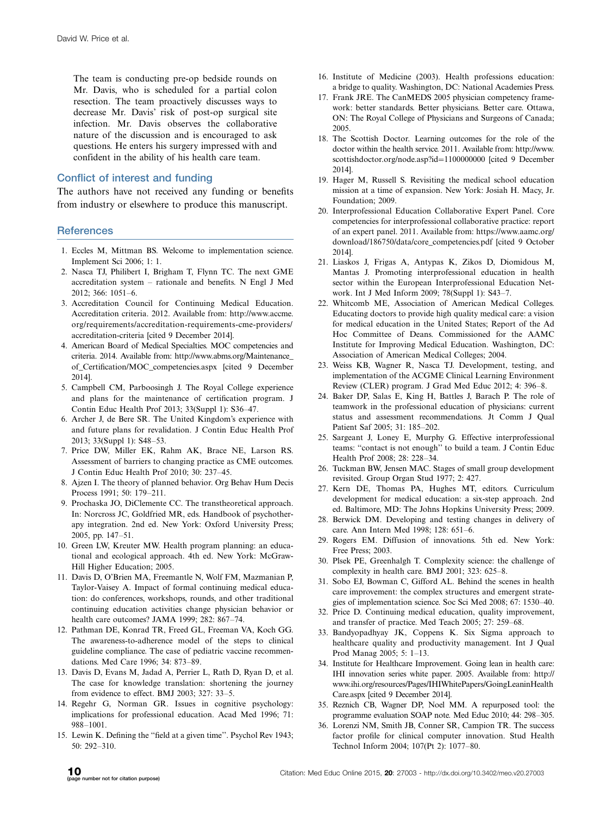The team is conducting pre-op bedside rounds on Mr. Davis, who is scheduled for a partial colon resection. The team proactively discusses ways to decrease Mr. Davis' risk of post-op surgical site infection. Mr. Davis observes the collaborative nature of the discussion and is encouraged to ask questions. He enters his surgery impressed with and confident in the ability of his health care team.

#### Conflict of interest and funding

The authors have not received any funding or benefits from industry or elsewhere to produce this manuscript.

#### **References**

- 1. Eccles M, Mittman BS. Welcome to implementation science. Implement Sci 2006; 1: 1.
- 2. Nasca TJ, Philibert I, Brigham T, Flynn TC. The next GME accreditation system - rationale and benefits. N Engl J Med 2012; 366: 1051-6.
- 3. Accreditation Council for Continuing Medical Education. Accreditation criteria. 2012. Available from: [http://www.accme.](http://www.accme.org/requirements/accreditation-requirements-cme-providers/accreditation-criteria) [org/requirements/accreditation-requirements-cme-providers/](http://www.accme.org/requirements/accreditation-requirements-cme-providers/accreditation-criteria) [accreditation-criteria](http://www.accme.org/requirements/accreditation-requirements-cme-providers/accreditation-criteria) [cited 9 December 2014].
- 4. American Board of Medical Specialties. MOC competencies and criteria. 2014. Available from: [http://www.abms.org/Maintenance\\_](http://www.abms.org/Maintenance_of_Certification/MOC_competencies.aspx) of Certification/MOC competencies.aspx [cited 9 December 2014].
- 5. Campbell CM, Parboosingh J. The Royal College experience and plans for the maintenance of certification program. J Contin Educ Health Prof 2013; 33(Suppl 1): S36-47.
- 6. Archer J, de Bere SR. The United Kingdom's experience with and future plans for revalidation. J Contin Educ Health Prof 2013; 33(Suppl 1): S48-53.
- 7. Price DW, Miller EK, Rahm AK, Brace NE, Larson RS. Assessment of barriers to changing practice as CME outcomes. J Contin Educ Health Prof 2010; 30: 237-45.
- 8. Ajzen I. The theory of planned behavior. Org Behav Hum Decis Process 1991; 50: 179-211.
- 9. Prochaska JO, DiClemente CC. The transtheoretical approach. In: Norcross JC, Goldfried MR, eds. Handbook of psychotherapy integration. 2nd ed. New York: Oxford University Press; 2005, pp. 147-51.
- 10. Green LW, Kreuter MW. Health program planning: an educational and ecological approach. 4th ed. New York: McGraw-Hill Higher Education; 2005.
- 11. Davis D, O'Brien MA, Freemantle N, Wolf FM, Mazmanian P, Taylor-Vaisey A. Impact of formal continuing medical education: do conferences, workshops, rounds, and other traditional continuing education activities change physician behavior or health care outcomes? JAMA 1999; 282: 867-74.
- 12. Pathman DE, Konrad TR, Freed GL, Freeman VA, Koch GG. The awareness-to-adherence model of the steps to clinical guideline compliance. The case of pediatric vaccine recommendations. Med Care 1996; 34: 873-89.
- 13. Davis D, Evans M, Jadad A, Perrier L, Rath D, Ryan D, et al. The case for knowledge translation: shortening the journey from evidence to effect. BMJ 2003; 327: 33-5.
- 14. Regehr G, Norman GR. Issues in cognitive psychology: implications for professional education. Acad Med 1996; 71: 988-1001.
- 15. Lewin K. Defining the ''field at a given time''. Psychol Rev 1943; 50: 292-310.
- 16. Institute of Medicine (2003). Health professions education: a bridge to quality. Washington, DC: National Academies Press.
- 17. Frank JRE. The CanMEDS 2005 physician competency framework: better standards. Better physicians. Better care. Ottawa, ON: The Royal College of Physicians and Surgeons of Canada; 2005.
- 18. The Scottish Doctor. Learning outcomes for the role of the doctor within the health service. 2011. Available from: [http://www.](http://www.scottishdoctor.org/node.asp?id=1100000000) [scottishdoctor.org/node.asp?id](http://www.scottishdoctor.org/node.asp?id=1100000000)=[1100000000](http://www.scottishdoctor.org/node.asp?id=1100000000) [cited 9 December 2014].
- 19. Hager M, Russell S. Revisiting the medical school education mission at a time of expansion. New York: Josiah H. Macy, Jr. Foundation; 2009.
- 20. Interprofessional Education Collaborative Expert Panel. Core competencies for interprofessional collaborative practice: report of an expert panel. 2011. Available from: [https://www.aamc.org/](https://www.aamc.org/download/186750/data/core_competencies.pdf) [download/186750/data/core\\_competencies.pdf](https://www.aamc.org/download/186750/data/core_competencies.pdf) [cited 9 October 2014].
- 21. Liaskos J, Frigas A, Antypas K, Zikos D, Diomidous M, Mantas J. Promoting interprofessional education in health sector within the European Interprofessional Education Network. Int J Med Inform 2009; 78(Suppl 1): S43-7.
- 22. Whitcomb ME, Association of American Medical Colleges. Educating doctors to provide high quality medical care: a vision for medical education in the United States; Report of the Ad Hoc Committee of Deans. Commissioned for the AAMC Institute for Improving Medical Education. Washington, DC: Association of American Medical Colleges; 2004.
- 23. Weiss KB, Wagner R, Nasca TJ. Development, testing, and implementation of the ACGME Clinical Learning Environment Review (CLER) program. J Grad Med Educ 2012; 4: 396-8.
- 24. Baker DP, Salas E, King H, Battles J, Barach P. The role of teamwork in the professional education of physicians: current status and assessment recommendations. Jt Comm J Qual Patient Saf 2005; 31: 185-202.
- 25. Sargeant J, Loney E, Murphy G. Effective interprofessional teams: ''contact is not enough'' to build a team. J Contin Educ Health Prof 2008; 28: 228-34.
- 26. Tuckman BW, Jensen MAC. Stages of small group development revisited. Group Organ Stud 1977; 2: 427.
- 27. Kern DE, Thomas PA, Hughes MT, editors. Curriculum development for medical education: a six-step approach. 2nd ed. Baltimore, MD: The Johns Hopkins University Press; 2009.
- 28. Berwick DM. Developing and testing changes in delivery of care. Ann Intern Med 1998; 128: 651-6.
- 29. Rogers EM. Diffusion of innovations. 5th ed. New York: Free Press; 2003.
- 30. Plsek PE, Greenhalgh T. Complexity science: the challenge of complexity in health care. BMJ 2001; 323: 625-8.
- 31. Sobo EJ, Bowman C, Gifford AL. Behind the scenes in health care improvement: the complex structures and emergent strategies of implementation science. Soc Sci Med 2008; 67: 1530-40.
- 32. Price D. Continuing medical education, quality improvement, and transfer of practice. Med Teach 2005; 27: 259-68.
- 33. Bandyopadhyay JK, Coppens K. Six Sigma approach to healthcare quality and productivity management. Int J Qual Prod Manag 2005; 5: 1-13.
- 34. Institute for Healthcare Improvement. Going lean in health care: IHI innovation series white paper. 2005. Available from: [http://](http://www.ihi.org/resources/Pages/IHIWhitePapers/GoingLeaninHealthCare.aspx) [www.ihi.org/resources/Pages/IHIWhitePapers/GoingLeaninHealth](http://www.ihi.org/resources/Pages/IHIWhitePapers/GoingLeaninHealthCare.aspx) [Care.aspx](http://www.ihi.org/resources/Pages/IHIWhitePapers/GoingLeaninHealthCare.aspx) [cited 9 December 2014].
- 35. Reznich CB, Wagner DP, Noel MM. A repurposed tool: the programme evaluation SOAP note. Med Educ 2010; 44: 298-305.
- 36. Lorenzi NM, Smith JB, Conner SR, Campion TR. The success factor profile for clinical computer innovation. Stud Health Technol Inform 2004; 107(Pt 2): 1077-80.